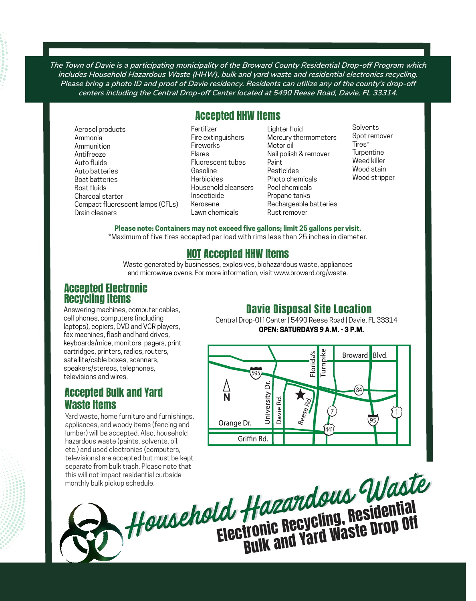*The Town of Davie is a participating municipality of the Broward County Residential Drop-off Program which includes Household Hazardous Waste (HHW), bulk and yard waste and residential electronics recycling. Please bring a photo ID and proof of Davie residency. Residents can utilize any of the county's drop-off centers including the Central Drop-off Center located at 5490 Reese Road, Davie, FL 33314.*

# Accepted HHW Items

Aerosol products Ammonia Ammunition Antifreeze Auto fluids Auto batteries Boat batteries Boat fluids Charcoal starter Compact fluorescent lamps (CFLs) Drain cleaners

Fertilizer Fire extinguishers Fireworks Flares Fluorescent tubes Gasoline **Herbicides** Household cleansers Insecticide Kerosene Lawn chemicals

Lighter fluid Mercury thermometers Motor oil Nail polish & remover Paint Pesticides Photo chemicals Pool chemicals Propane tanks Rechargeable batteries Rust remover

Solvents Spot remover Tires\* **Turpentine** Weed killer Wood stain Wood stripper

**Please note: Containers may not exceed five gallons; limit 25 gallons per visit.** 

\*Maximum of five tires accepted per load with rims less than 25 inches in diameter.

# NOT Accepted HHW Items

Waste generated by businesses, explosives, biohazardous waste, appliances and microwave ovens. For more information, visit www.broward.org/waste.

## Accepted Electronic Recycling Items

Answering machines, computer cables, cell phones, computers (including laptops), copiers, DVD and VCR players, fax machines, flash and hard drives, keyboards/mice, monitors, pagers, print cartridges, printers, radios, routers, satellite/cable boxes, scanners, speakers/stereos, telephones, televisions and wires.

## Accepted Bulk and Yard Waste Items

Yard waste, home furniture and furnishings, appliances, and woody items (fencing and lumber) will be accepted. Also, household hazardous waste (paints, solvents, oil, etc.) and used electronics (computers, televisions) are accepted but must be kept separate from bulk trash. Please note that this will not impact residential curbside monthly bulk pickup schedule.

### Davie Disposal Site Location

Central Drop-Off Center | 5490 Reese Road | Davie, FL 33314 **OPEN: SATURDAYS 9 A.M. - 3 P.M.**



Household Hazardous Waste Electronic Recycling, Residential<br>Bulk and Yard Waste Drop Off